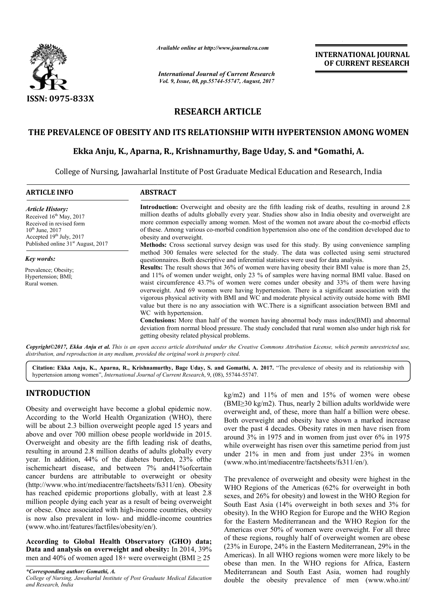

*Available online at http://www.journal http://www.journalcra.com*

*International Journal of Current Research Vol. 9, Issue, 08, pp.55744-55747, August, 2017* **INTERNATIONAL JOURNAL OF CURRENT RESEARCH** 

# **RESEARCH ARTICLE**

# THE PREVALENCE OF OBESITY AND ITS RELATIONSHIP WITH HYPERTENSION AMONG WOMEN<br>Ekka Anju, K., Aparna, R., Krishnamurthy, Bage Uday, S. and \*Gomathi, A.

## **Ekka Anju, K., Aparna , Aparna, R., Krishnamurthy, Bage Uday, S. and \***

College of Nursing, Jawaharlal Institute of Post Graduate Medical Education and Research, India

| <b>ARTICLE INFO</b>                                                                                                                                                                                | <b>ABSTRACT</b>                                                                                                                                                                                                                                                                                                                                                                                                                                                                                                                                                                                                                                                                                                                                                                                                                                                                               |
|----------------------------------------------------------------------------------------------------------------------------------------------------------------------------------------------------|-----------------------------------------------------------------------------------------------------------------------------------------------------------------------------------------------------------------------------------------------------------------------------------------------------------------------------------------------------------------------------------------------------------------------------------------------------------------------------------------------------------------------------------------------------------------------------------------------------------------------------------------------------------------------------------------------------------------------------------------------------------------------------------------------------------------------------------------------------------------------------------------------|
| <b>Article History:</b><br>Received 16 <sup>th</sup> May, 2017<br>Received in revised form<br>$10^{th}$ June, 2017<br>Accepted $19th$ July, 2017<br>Published online 31 <sup>st</sup> August, 2017 | <b>Introduction:</b> Overweight and obesity are the fifth leading risk of deaths, resulting in around 2.8<br>million deaths of adults globally every year. Studies show also in India obesity and overweight are<br>more common especially among women. Most of the women not aware about the co-morbid effects<br>of these. Among various co-morbid condition hypertension also one of the condition developed due to<br>obesity and overweight.                                                                                                                                                                                                                                                                                                                                                                                                                                             |
|                                                                                                                                                                                                    | <b>Methods:</b> Cross sectional survey design was used for this study. By using convenience sampling<br>method 300 females were selected for the study. The data was collected using semi-structured                                                                                                                                                                                                                                                                                                                                                                                                                                                                                                                                                                                                                                                                                          |
| Key words:                                                                                                                                                                                         | questionnaires. Both descriptive and inferential statistics were used for data analysis.                                                                                                                                                                                                                                                                                                                                                                                                                                                                                                                                                                                                                                                                                                                                                                                                      |
| Prevalence; Obesity;<br>Hypertension; BMI;<br>Rural women.                                                                                                                                         | <b>Results:</b> The result shows that 36% of women were having obesity their BMI value is more than 25,<br>and 11% of women under weight, only 23 % of samples were having normal BMI value. Based on<br>waist circumference 43.7% of women were comes under obesity and 33% of them were having<br>overweight. And 69 women were having hypertension. There is a significant association with the<br>vigorous physical activity with BMI and WC and moderate physical activity outside home with BMI<br>value but there is no any association with WC. There is a significant association between BMI and<br>WC with hypertension.<br><b>Conclusions:</b> More than half of the women having abnormal body mass index(BMI) and abnormal<br>deviation from normal blood pressure. The study concluded that rural women also under high risk for<br>getting obesity related physical problems. |

Copyright©2017, Ekka Anju et al. This is an open access article distributed under the Creative Commons Attribution License, which permits unrestricted use, *distribution, and reproduction in any medium, provided the original work is properly cited.*

Citation: Ekka Anju, K., Aparna, R., Krishnamurthy, Bage Uday, S. and Gomathi, A. 2017. "The prevalence of obesity and its relationship with hypertension among women", *International Journal of Current Research*, 9, (08), 55744-55747.

## **INTRODUCTION**

Obesity and overweight have become a global epidemic now. According to the World Health Organization (WHO), there will be about 2.3 billion overweight people aged 15 years and above and over 700 million obese people worldwide in 2015. Overweight and obesity are the fifth leading risk of deaths, resulting in around 2.8 million deaths of adults globally every year. In addition, 44% of the diabetes burden, 23% ofthe ischemicheart disease, and between 7% and41%ofcertain cancer burdens are attributable to overweight or obesity (http://www.who.int/mediacentre/factsheets/fs311/en). Obesity has reached epidemic proportions globally, with at least 2.8 million people dying each year as a result of being overweight or obese. Once associated with high-income countries, obesity or obese. Once associated with high-income countries, obesity<br>is now also prevalent in low- and middle-income countries (www.who.int/features/factfiles/obesity/en/). ddition, 44% of the diabetes burden, 23% of<br>the aart disease, and between 7% and 41% of certain rdens are attributable to overweight or obesity<br>w.who.int/mediacentre/factsheets/fs311/en). Obesity

**According to Global Health Observatory (GHO) data;**  Data and analysis on overweight and obesity: In 2014, 39% men and 40% of women aged  $18+$  were overweight (BMI  $\geq$  25

*\*Corresponding author: Gomathi, A. College of Nursing, Jawaharlal Institute of Post Graduate Medical Education and Research, India*

kg/m2) and 11% of men and 15% of women were obese (BMI≥30 kg/m2). Thus, nearly 2 billion adults worldwide were kg/m2) and 11% of men and 15% of women were obese (BMI≥30 kg/m2). Thus, nearly 2 billion adults worldwide were overweight and, of these, more than half a billion were obese. Both overweight and obesity have shown a marked increase over the past 4 decades. Obesity rates in men have risen from around 3% in 1975 and in women from just over 6% in 1975 while overweight has risen over this sametime period from just under 21% in men and from just under 23% in women (www.who.int/mediacentre/factsheets/fs311/en/). and obesity have shown a marked increase<br>ccades. Obesity rates in men have risen from<br>75 and in women from just over 6% in 1975<br>has risen over this sametime period from just

The prevalence of overweight and obesity were highest in the WHO Regions of the Americas (62% for overweight in both sexes, and  $26\%$  for obesity) and lowest in the WHO Region for South East Asia (14% overweight in both sexes and 3% for South East Asia (14% overweight in both sexes and 3% for obesity). In the WHO Region for Europe and the WHO Region for the Eastern Mediterranean and the WHO Region for the Americas over 50% of women were overweight. For all three of these regions, roughly half of overweight women are obese for the Eastern Mediterranean and the WHO Region for the Americas over 50% of women were overweight. For all three of these regions, roughly half of overweight women are obese (23% in Europe, 24% in the Eastern Mediterrane Americas). In all WHO regions women were more likely to be obese than men. In the WHO regions for Africa, Eastern Mediterranean and South East Asia, women had roughly double the obesity prevalence of men (www.who.int/ 21% in men and from just under 23% in women who.int/mediacentre/factsheets/fs311/en/).<br>evalence of overweight and obesity were highest in the Regions of the Americas (62% for overweight in both and 26% for obesity) and lo cas). In all WHO regions women were more likely to be than men. In the WHO regions for Africa, Eastern rranean and South East Asia, women had roughly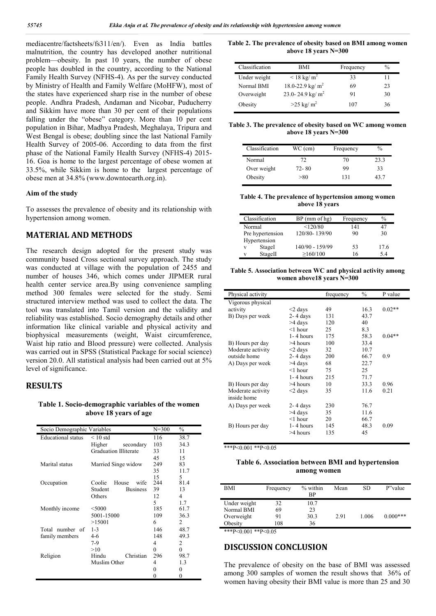mediacentre/factsheets/fs311/en/). Even as India battles malnutrition, the country has developed another nutritional problem—obesity. In past 10 years, the number of obese people has doubled in the country, according to the National Family Health Survey (NFHS-4). As per the survey conducted by Ministry of Health and Family Welfare (MoHFW), most of the states have experienced sharp rise in the number of obese people. Andhra Pradesh, Andaman and Nicobar, Puducherry and Sikkim have more than 30 per cent of their populations falling under the "obese" category. More than 10 per cent population in Bihar, Madhya Pradesh, Meghalaya, Tripura and West Bengal is obese; doubling since the last National Family Health Survey of 2005-06. According to data from the first phase of the National Family Health Survey (NFHS-4) 2015- 16. Goa is home to the largest percentage of obese women at 33.5%, while Sikkim is home to the largest percentage of obese men at 34.8% (www.downtoearth.org.in).

#### **Aim of the study**

To assesses the prevalence of obesity and its relationship with hypertension among women.

## **MATERIAL AND METHODS**

The research design adopted for the present study was community based Cross sectional survey approach. The study was conducted at village with the population of 2455 and number of houses 346, which comes under JIPMER rural health center service area.By using convenience sampling method 300 females were selected for the study. Semi structured interview method was used to collect the data. The tool was translated into Tamil version and the validity and reliability was established. Socio demography details and other information like clinical variable and physical activity and biophysical measurements (weight, Waist circumference, Waist hip ratio and Blood pressure) were collected. Analysis was carried out in SPSS (Statistical Package for social science) version 20.0. All statistical analysis had been carried out at 5% level of significance.

#### **RESULTS**

**Table 1. Socio-demographic variables of the women above 18 years of age**

|                           | $\frac{0}{0}$<br>$N = 300$<br>Socio Demographic Variables |             |          |  |  |
|---------------------------|-----------------------------------------------------------|-------------|----------|--|--|
| <b>Educational</b> status | $< 10$ std                                                | 116         | 38.7     |  |  |
|                           | Higher<br>secondary                                       | 103         | 34.3     |  |  |
|                           | <b>Graduation Illiterate</b>                              | 33          | 11       |  |  |
|                           |                                                           | 45          | 15       |  |  |
| Marital status            | Married Singe widow                                       | 249         | 83       |  |  |
|                           |                                                           | 35          | 11.7     |  |  |
|                           |                                                           | 15          | 5        |  |  |
| Occupation                | House<br>Coolie<br>wife                                   | 244         | 81.4     |  |  |
|                           | Student<br><b>Business</b>                                | 39          | 13       |  |  |
|                           | Others                                                    | 12          | 4        |  |  |
|                           |                                                           | $\varsigma$ | 1.7      |  |  |
| Monthly income            | $<$ 5000                                                  | 185         | 61.7     |  |  |
|                           | 5001-15000                                                | 109         | 36.3     |  |  |
|                           | >15001                                                    | 6           | 2        |  |  |
| Total number of           | $1 - 3$                                                   | 146         | 48.7     |  |  |
| family members            | $4-6$                                                     | 148         | 49.3     |  |  |
|                           | 7-9                                                       | 4           | 2        |  |  |
|                           | >10                                                       | $\theta$    | $\Omega$ |  |  |
| Religion                  | Hindu<br>Christian                                        | 296         | 98.7     |  |  |
|                           | Muslim Other                                              | 4           | 1.3      |  |  |
|                           |                                                           | 0           | 0        |  |  |
|                           |                                                           | 0           | 0        |  |  |

**Table 2. The prevalence of obesity based on BMI among women above 18 years N=300**

| Classification | BMI                      | Frequency | $\frac{0}{0}$ |
|----------------|--------------------------|-----------|---------------|
| Under weight   | $< 18 \text{ kg/m}^2$    | 33        | 11            |
| Normal BMI     | 18.0-22.9 kg/ $m^2$      | 69        | 23            |
| Overweight     | 23.0-24.9 kg/ $m^2$      | 91        | 30            |
| Obesity        | $>25$ kg/ m <sup>2</sup> | 107       | 36            |

**Table 3. The prevalence of obesity based on WC among women above 18 years N=300**

| Classification | WC (cm)   | Frequency | $\%$ |
|----------------|-----------|-----------|------|
| Normal         | 72        | 70        | 23.3 |
| Over weight    | $72 - 80$ | 99        | 33   |
| Obesity        | > 80      | 131       | 43.7 |

**Table 4. The prevalence of hypertension among women above 18 years**

|        | Classification   | $BP$ (mm of hg) | Frequency | $\frac{0}{0}$ |
|--------|------------------|-----------------|-----------|---------------|
| Normal |                  | <120/80         | 141       | 47            |
|        | Pre hypertension | 120/80-139/90   | 90        | 30            |
|        | Hypertension     |                 |           |               |
| v      | StageI           | 140/90 - 159/99 | 53        | 17.6          |
| v      | StageII          | >160/100        | 16        | 5.4           |

**Table 5. Association between WC and physical activity among women above18 years N=300**

| Physical activity |               | frequency | $\frac{0}{0}$ | P value  |
|-------------------|---------------|-----------|---------------|----------|
| Vigorous physical |               |           |               |          |
| activity          | $<$ 2 days    | 49        | 16.3          | $0.02**$ |
| B) Days per week  | $2 - 4$ days  | 131       | 43.7          |          |
|                   | >4 days       | 120       | 40            |          |
|                   | $<$ 1 hour    | 25        | 8.3           |          |
|                   | 1-4 hours     | 175       | 58.3          | $0.04**$ |
| B) Hours per day  | $>4$ hours    | 100       | 33.4          |          |
| Moderate activity | $<$ 2 days    | 32        | 10.7          |          |
| outside home      | $2 - 4$ days  | 200       | 66.7          | 0.9      |
| A) Days per week  | >4 days       | 68        | 22.7          |          |
|                   | $<$ 1 hour    | 75        | 25            |          |
|                   | $1 - 4$ hours | 215       | 71.7          |          |
| B) Hours per day  | $>4$ hours    | 10        | 33.3          | 0.96     |
| Moderate activity | $\leq$ days   | 35        | 11.6          | 0.21     |
| inside home       |               |           |               |          |
| A) Days per week  | $2 - 4$ days  | 230       | 76.7          |          |
|                   | $>4$ days     | 35        | 11.6          |          |
|                   | $<$ 1 hour    | 20        | 66.7          |          |
| B) Hours per day  | $1 - 4$ hours | 145       | 48.3          | 0.09     |
|                   | $>4$ hours    | 135       | 45            |          |
|                   |               |           |               |          |

\*\*\*P<0.001 \*\*P<0.05

#### **Table 6. Association between BMI and hypertension among women**

| BMI          | Frequency | $%$ within<br><b>BP</b> | Mean | SD    | P"value    |
|--------------|-----------|-------------------------|------|-------|------------|
| Under weight | 32        | 10.7                    |      |       |            |
| Normal BMI   | 69        | 23                      |      |       |            |
| Overweight   | 91        | 30.3                    | 2.91 | 1.006 | $0.000***$ |
| Obesity      | 108       | 36                      |      |       |            |
|              |           |                         |      |       |            |

\*\*\*P<0.001 \*\*P<0.05

## **DISCUSSION CONCLUSION**

The prevalence of obesity on the base of BMI was assessed among 300 samples of women the result shows that 36% of women having obesity their BMI value is more than 25 and 30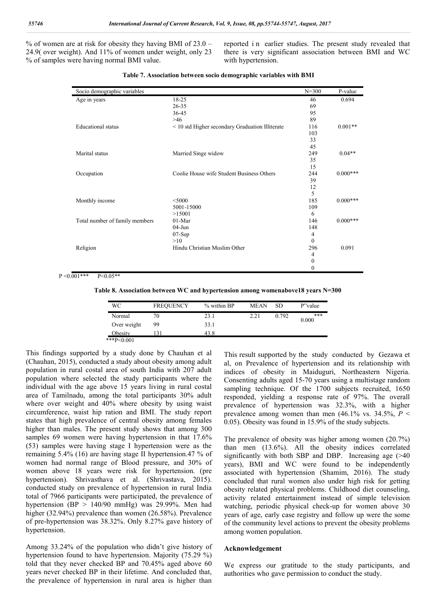% of women are at risk for obesity they having BMI of 23.0 – 24.9( over weight). And 11% of women under weight, only 23 % of samples were having normal BMI value.

reported in earlier studies. The present study revealed that there is very significant association between BMI and WC with hypertension.

| Socio demographic variables    |                                                 | $N = 300$        | P-value    |
|--------------------------------|-------------------------------------------------|------------------|------------|
| Age in years                   | 18-25                                           | 46               | 0.694      |
|                                | $26 - 35$                                       | 69               |            |
|                                | 36-45                                           | 95               |            |
|                                | >46                                             | 89               |            |
| <b>Educational</b> status      | < 10 std Higher secondary Graduation Illiterate | 116              | $0.001**$  |
|                                |                                                 | 103              |            |
|                                |                                                 | 33               |            |
|                                |                                                 | 45               |            |
| Marital status                 | Married Singe widow                             | 249              | $0.04**$   |
|                                |                                                 | 35               |            |
|                                |                                                 | 15               |            |
| Occupation                     | Coolie House wife Student Business Others       | 244              | $0.000***$ |
|                                |                                                 | 39               |            |
|                                |                                                 | 12               |            |
|                                |                                                 | 5                |            |
| Monthly income                 | $<$ 5000                                        | 185              | $0.000***$ |
|                                | 5001-15000                                      | 109              |            |
|                                | >15001                                          | 6                |            |
| Total number of family members | 01-Mar                                          | 146              | $0.000***$ |
|                                | $04-J$ un                                       | 148              |            |
|                                | $07-Sep$                                        | $\overline{4}$   |            |
|                                | >10                                             | $\theta$         |            |
| Religion                       | Hindu Christian Muslim Other                    | 296              | 0.091      |
|                                |                                                 | $\overline{4}$   |            |
|                                |                                                 | $\boldsymbol{0}$ |            |
|                                |                                                 | $\boldsymbol{0}$ |            |

 $P < 0.001***$  P<0.05\*\*

**Table 8. Association between WC and hypertension among womenabove18 years N=300**

| WС            | <b>FREQUENCY</b> | % within BP | <b>MEAN</b> | <b>SD</b> | P"value      |
|---------------|------------------|-------------|-------------|-----------|--------------|
| Normal        | 70               | 23.1        | 2.21        | 0.792     | ***<br>0.000 |
| Over weight   | 99               | 33.1        |             |           |              |
| Obesity       |                  | 43 8        |             |           |              |
| ***P< $0.001$ |                  |             |             |           |              |

This findings supported by a study done by Chauhan et al (Chauhan, 2015), conducted a study about obesity among adult population in rural costal area of south India with 207 adult population where selected the study participants where the individual with the age above 15 years living in rural costal area of Tamilnadu, among the total participants 30% adult where over weight and 40% where obesity by using waist circumference, waist hip ration and BMI. The study report states that high prevalence of central obesity among females higher than males. The present study shows that among 300 samples 69 women were having hypertension in that 17.6% (53) samples were having stage I hypertension were as the remaining 5.4% (16) are having stage II hypertension.47 % of women had normal range of Blood pressure, and 30% of women above 18 years were risk for hypertension. (pre hypertension). Shrivasthava et al. (Shrivastava, 2015). conducted study on prevalence of hypertension in rural India total of 7966 participants were participated, the prevalence of hypertension (BP  $> 140/90$  mmHg) was 29.99%. Men had higher (32.94%) prevalence than women (26.58%). Prevalence of pre-hypertension was 38.32%. Only 8.27% gave history of hypertension.

Among 33.24% of the population who didn't give history of hypertension found to have hypertension. Majority (75.29 %) told that they never checked BP and 70.45% aged above 60 years never checked BP in their lifetime. And concluded that, the prevalence of hypertension in rural area is higher than This result supported by the study conducted by Gezawa et al, on Prevalence of hypertension and its relationship with indices of obesity in Maiduguri, Northeastern Nigeria. Consenting adults aged 15-70 years using a multistage random sampling technique. Of the 1700 subjects recruited, 1650 responded, yielding a response rate of 97%. The overall prevalence of hypertension was 32.3%, with a higher prevalence among women than men  $(46.1\% \text{ vs. } 34.5\%, P <$ 0.05). Obesity was found in 15.9% of the study subjects.

The prevalence of obesity was higher among women (20.7%) than men (13.6%). All the obesity indices correlated significantly with both SBP and DBP. Increasing age (>40 years), BMI and WC were found to be independently associated with hypertension (Shamim, 2016). The study concluded that rural women also under high risk for getting obesity related physical problems. Childhood diet counseling, activity related entertainment instead of simple television watching, periodic physical check-up for women above 30 years of age, early case registry and follow up were the some of the community level actions to prevent the obesity problems among women population.

#### **Acknowledgement**

We express our gratitude to the study participants, and authorities who gave permission to conduct the study.